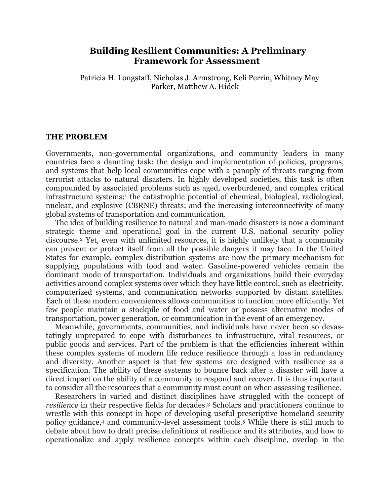# **Building Resilient Communities: A Preliminary Framework for Assessment**

Patricia H. Longstaff, Nicholas J. Armstrong, Keli Perrin, Whitney May Parker, Matthew A. Hidek

### **THE PROBLEM**

Governments, non-governmental organizations, and community leaders in many countries face a daunting task: the design and implementation of policies, programs, and systems that help local communities cope with a panoply of threats ranging from terrorist attacks to natural disasters. In highly developed societies, this task is often compounded by associated problems such as aged, overburdened, and complex critical infrastructure systems;<sup>1</sup> the catastrophic potential of chemical, biological, radiological, nuclear, and explosive (CBRNE) threats; and the increasing interconnectivity of many global systems of transportation and communication.

The idea of building resilience to natural and man-made disasters is now a dominant strategic theme and operational goal in the current U.S. national security policy discourse.2 Yet, even with unlimited resources, it is highly unlikely that a community can prevent or protect itself from all the possible dangers it may face. In the United States for example, complex distribution systems are now the primary mechanism for supplying populations with food and water. Gasoline-powered vehicles remain the dominant mode of transportation. Individuals and organizations build their everyday activities around complex systems over which they have little control, such as electricity, computerized systems, and communication networks supported by distant satellites. Each of these modern conveniences allows communities to function more efficiently. Yet few people maintain a stockpile of food and water or possess alternative modes of transportation, power generation, or communication in the event of an emergency.

Meanwhile, governments, communities, and individuals have never been so devastatingly unprepared to cope with disturbances to infrastructure, vital resources, or public goods and services. Part of the problem is that the efficiencies inherent within these complex systems of modern life reduce resilience through a loss in redundancy and diversity. Another aspect is that few systems are designed with resilience as a specification. The ability of these systems to bounce back after a disaster will have a direct impact on the ability of a community to respond and recover. It is thus important to consider all the resources that a community must count on when assessing resilience.

Researchers in varied and distinct disciplines have struggled with the concept of *resilience* in their respective fields for decades.3 Scholars and practitioners continue to wrestle with this concept in hope of developing useful prescriptive homeland security policy guidance,4 and community-level assessment tools.5 While there is still much to debate about how to draft precise definitions of resilience and its attributes, and how to operationalize and apply resilience concepts within each discipline, overlap in the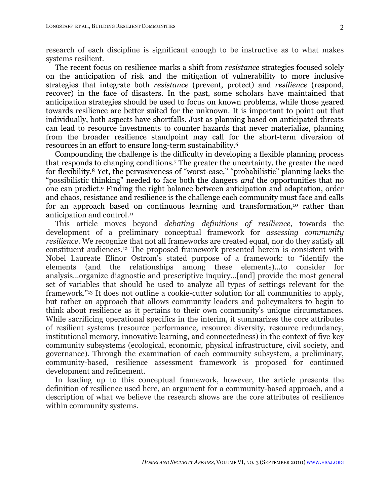research of each discipline is significant enough to be instructive as to what makes systems resilient.

The recent focus on resilience marks a shift from *resistance* strategies focused solely on the anticipation of risk and the mitigation of vulnerability to more inclusive strategies that integrate both *resistance* (prevent, protect) and *resilience* (respond, recover) in the face of disasters. In the past, some scholars have maintained that anticipation strategies should be used to focus on known problems, while those geared towards resilience are better suited for the unknown. It is important to point out that individually, both aspects have shortfalls. Just as planning based on anticipated threats can lead to resource investments to counter hazards that never materialize, planning from the broader resilience standpoint may call for the short-term diversion of resources in an effort to ensure long-term sustainability.6

Compounding the challenge is the difficulty in developing a flexible planning process that responds to changing conditions.7 The greater the uncertainty, the greater the need for flexibility.8 Yet, the pervasiveness of "worst-case," "probabilistic" planning lacks the "possibilistic thinking" needed to face both the dangers *and* the opportunities that no one can predict.9 Finding the right balance between anticipation and adaptation, order and chaos, resistance and resilience is the challenge each community must face and calls for an approach based on continuous learning and transformation,<sup>10</sup> rather than anticipation and control.11

This article moves beyond *debating definitions of resilience*, towards the development of a preliminary conceptual framework for *assessing community resilience*. We recognize that not all frameworks are created equal, nor do they satisfy all constituent audiences.12 The proposed framework presented herein is consistent with Nobel Laureate Elinor Ostrom's stated purpose of a framework: to "identify the elements (and the relationships among these elements)...to consider for analysis...organize diagnostic and prescriptive inquiry...[and] provide the most general set of variables that should be used to analyze all types of settings relevant for the framework."13 It does not outline a cookie-cutter solution for all communities to apply, but rather an approach that allows community leaders and policymakers to begin to think about resilience as it pertains to their own community's unique circumstances. While sacrificing operational specifics in the interim, it summarizes the core attributes of resilient systems (resource performance, resource diversity, resource redundancy, institutional memory, innovative learning, and connectedness) in the context of five key community subsystems (ecological, economic, physical infrastructure, civil society, and governance). Through the examination of each community subsystem, a preliminary, community-based, resilience assessment framework is proposed for continued development and refinement.

In leading up to this conceptual framework, however, the article presents the definition of resilience used here, an argument for a community-based approach, and a description of what we believe the research shows are the core attributes of resilience within community systems.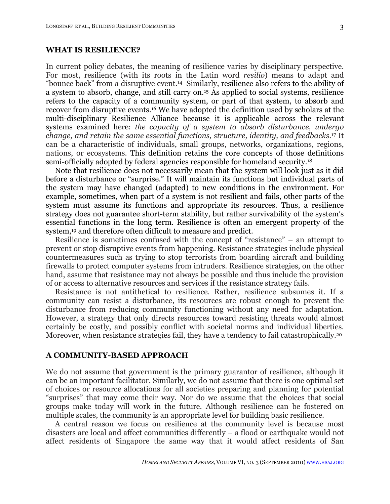### **WHAT IS RESILIENCE?**

In current policy debates, the meaning of resilience varies by disciplinary perspective. For most, resilience (with its roots in the Latin word *resilio*) means to adapt and "bounce back" from a disruptive event.14 Similarly, resilience also refers to the ability of a system to absorb, change, and still carry on.15 As applied to social systems, resilience refers to the capacity of a community system, or part of that system, to absorb and recover from disruptive events.16 We have adopted the definition used by scholars at the multi-disciplinary Resilience Alliance because it is applicable across the relevant systems examined here: *the capacity of a system to absorb disturbance, undergo change, and retain the same essential functions, structure, identity, and feedbacks*.17 It can be a characteristic of individuals, small groups, networks, organizations, regions, nations, or ecosystems. This definition retains the core concepts of those definitions semi-officially adopted by federal agencies responsible for homeland security.18

Note that resilience does not necessarily mean that the system will look just as it did before a disturbance or "surprise." It will maintain its functions but individual parts of the system may have changed (adapted) to new conditions in the environment. For example, sometimes, when part of a system is not resilient and fails, other parts of the system must assume its functions and appropriate its resources. Thus, a resilience strategy does not guarantee short-term stability, but rather survivability of the system's essential functions in the long term. Resilience is often an emergent property of the system,<sup>19</sup> and therefore often difficult to measure and predict.

Resilience is sometimes confused with the concept of "resistance" – an attempt to prevent or stop disruptive events from happening. Resistance strategies include physical countermeasures such as trying to stop terrorists from boarding aircraft and building firewalls to protect computer systems from intruders. Resilience strategies, on the other hand, assume that resistance may not always be possible and thus include the provision of or access to alternative resources and services if the resistance strategy fails.

Resistance is not antithetical to resilience. Rather, resilience subsumes it. If a community can resist a disturbance, its resources are robust enough to prevent the disturbance from reducing community functioning without any need for adaptation. However, a strategy that only directs resources toward resisting threats would almost certainly be costly, and possibly conflict with societal norms and individual liberties. Moreover, when resistance strategies fail, they have a tendency to fail catastrophically.<sup>20</sup>

### **A COMMUNITY-BASED APPROACH**

We do not assume that government is the primary guarantor of resilience, although it can be an important facilitator. Similarly, we do not assume that there is one optimal set of choices or resource allocations for all societies preparing and planning for potential "surprises" that may come their way. Nor do we assume that the choices that social groups make today will work in the future. Although resilience can be fostered on multiple scales, the community is an appropriate level for building basic resilience.

A central reason we focus on resilience at the community level is because most disasters are local and affect communities differently – a flood or earthquake would not affect residents of Singapore the same way that it would affect residents of San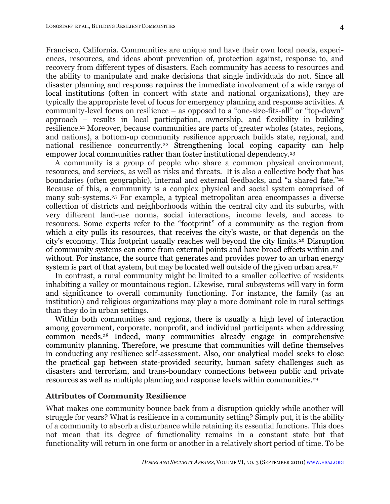Francisco, California. Communities are unique and have their own local needs, experiences, resources, and ideas about prevention of, protection against, response to, and recovery from different types of disasters. Each community has access to resources and the ability to manipulate and make decisions that single individuals do not. Since all disaster planning and response requires the immediate involvement of a wide range of local institutions (often in concert with state and national organizations), they are typically the appropriate level of focus for emergency planning and response activities. A community-level focus on resilience – as opposed to a "one-size-fits-all" or "top-down" approach – results in local participation, ownership, and flexibility in building resilience.21 Moreover, because communities are parts of greater wholes (states, regions, and nations), a bottom-up community resilience approach builds state, regional, and national resilience concurrently.<sup>22</sup> Strengthening local coping capacity can help empower local communities rather than foster institutional dependency.23

A community is a group of people who share a common physical environment, resources, and services, as well as risks and threats. It is also a collective body that has boundaries (often geographic), internal and external feedbacks, and "a shared fate."24 Because of this, a community is a complex physical and social system comprised of many sub-systems.25 For example, a typical metropolitan area encompasses a diverse collection of districts and neighborhoods within the central city and its suburbs, with very different land-use norms, social interactions, income levels, and access to resources. Some experts refer to the "footprint" of a community as the region from which a city pulls its resources, that receives the city's waste, or that depends on the city's economy. This footprint usually reaches well beyond the city limits.26 Disruption of community systems can come from external points and have broad effects within and without. For instance, the source that generates and provides power to an urban energy system is part of that system, but may be located well outside of the given urban area.<sup>27</sup>

In contrast, a rural community might be limited to a smaller collective of residents inhabiting a valley or mountainous region. Likewise, rural subsystems will vary in form and significance to overall community functioning. For instance, the family (as an institution) and religious organizations may play a more dominant role in rural settings than they do in urban settings.

Within both communities and regions, there is usually a high level of interaction among government, corporate, nonprofit, and individual participants when addressing common needs.28 Indeed, many communities already engage in comprehensive community planning. Therefore, we presume that communities will define themselves in conducting any resilience self-assessment. Also, our analytical model seeks to close the practical gap between state-provided security, human safety challenges such as disasters and terrorism, and trans-boundary connections between public and private resources as well as multiple planning and response levels within communities.29

## **Attributes of Community Resilience**

What makes one community bounce back from a disruption quickly while another will struggle for years? What is resilience in a community setting? Simply put, it is the ability of a community to absorb a disturbance while retaining its essential functions. This does not mean that its degree of functionality remains in a constant state but that functionality will return in one form or another in a relatively short period of time. To be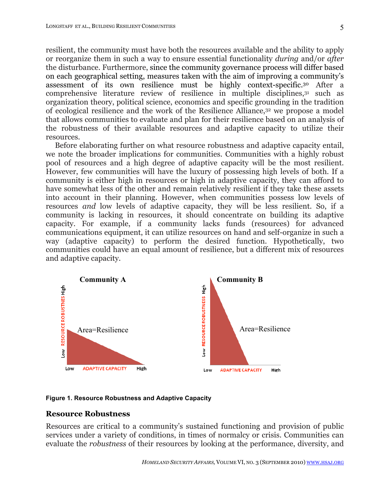resilient, the community must have both the resources available and the ability to apply or reorganize them in such a way to ensure essential functionality *during* and/or *after* the disturbance. Furthermore, since the community governance process will differ based on each geographical setting, measures taken with the aim of improving a community's assessment of its own resilience must be highly context-specific.30 After a comprehensive literature review of resilience in multiple disciplines,<sup>31</sup> such as organization theory, political science, economics and specific grounding in the tradition of ecological resilience and the work of the Resilience Alliance,32 we propose a model that allows communities to evaluate and plan for their resilience based on an analysis of the robustness of their available resources and adaptive capacity to utilize their resources.

Before elaborating further on what resource robustness and adaptive capacity entail, we note the broader implications for communities. Communities with a highly robust pool of resources and a high degree of adaptive capacity will be the most resilient. However, few communities will have the luxury of possessing high levels of both. If a community is either high in resources or high in adaptive capacity, they can afford to have somewhat less of the other and remain relatively resilient if they take these assets into account in their planning. However, when communities possess low levels of resources *and* low levels of adaptive capacity, they will be less resilient. So, if a community is lacking in resources, it should concentrate on building its adaptive capacity. For example, if a community lacks funds (resources) for advanced communications equipment, it can utilize resources on hand and self-organize in such a way (adaptive capacity) to perform the desired function. Hypothetically, two communities could have an equal amount of resilience, but a different mix of resources and adaptive capacity.



**Figure 1. Resource Robustness and Adaptive Capacity**

### **Resource Robustness**

Resources are critical to a community's sustained functioning and provision of public services under a variety of conditions, in times of normalcy or crisis. Communities can evaluate the *robustness* of their resources by looking at the performance, diversity, and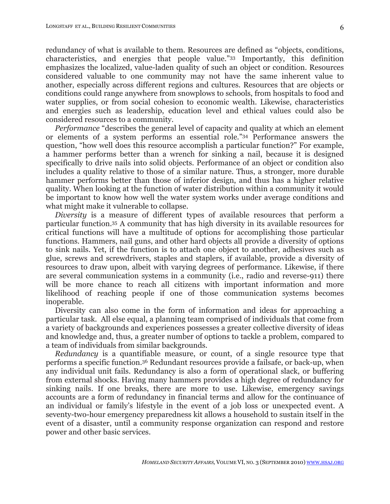redundancy of what is available to them. Resources are defined as "objects, conditions, characteristics, and energies that people value."33 Importantly, this definition emphasizes the localized, value-laden quality of such an object or condition. Resources considered valuable to one community may not have the same inherent value to another, especially across different regions and cultures. Resources that are objects or conditions could range anywhere from snowplows to schools, from hospitals to food and water supplies, or from social cohesion to economic wealth. Likewise, characteristics and energies such as leadership, education level and ethical values could also be considered resources to a community.

*Performance* "describes the general level of capacity and quality at which an element or elements of a system performs an essential role."34 Performance answers the question, "how well does this resource accomplish a particular function?" For example, a hammer performs better than a wrench for sinking a nail, because it is designed specifically to drive nails into solid objects. Performance of an object or condition also includes a quality relative to those of a similar nature. Thus, a stronger, more durable hammer performs better than those of inferior design, and thus has a higher relative quality. When looking at the function of water distribution within a community it would be important to know how well the water system works under average conditions and what might make it vulnerable to collapse.

*Diversity* is a measure of different types of available resources that perform a particular function.35 A community that has high diversity in its available resources for critical functions will have a multitude of options for accomplishing those particular functions. Hammers, nail guns, and other hard objects all provide a diversity of options to sink nails. Yet, if the function is to attach one object to another, adhesives such as glue, screws and screwdrivers, staples and staplers, if available, provide a diversity of resources to draw upon, albeit with varying degrees of performance. Likewise, if there are several communication systems in a community (i.e., radio and reverse-911) there will be more chance to reach all citizens with important information and more likelihood of reaching people if one of those communication systems becomes inoperable.

Diversity can also come in the form of information and ideas for approaching a particular task. All else equal, a planning team comprised of individuals that come from a variety of backgrounds and experiences possesses a greater collective diversity of ideas and knowledge and, thus, a greater number of options to tackle a problem, compared to a team of individuals from similar backgrounds.

*Redundancy* is a quantifiable measure, or count, of a single resource type that performs a specific function.36 Redundant resources provide a failsafe, or back-up, when any individual unit fails. Redundancy is also a form of operational slack, or buffering from external shocks. Having many hammers provides a high degree of redundancy for sinking nails. If one breaks, there are more to use. Likewise, emergency savings accounts are a form of redundancy in financial terms and allow for the continuance of an individual or family's lifestyle in the event of a job loss or unexpected event. A seventy-two-hour emergency preparedness kit allows a household to sustain itself in the event of a disaster, until a community response organization can respond and restore power and other basic services.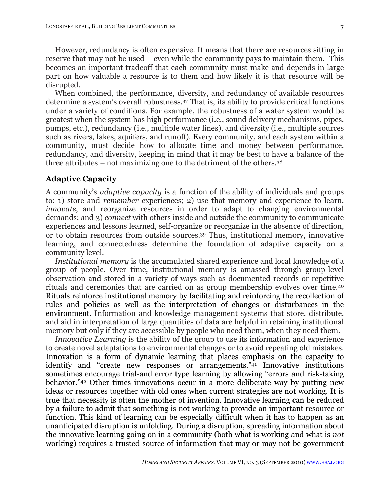However, redundancy is often expensive. It means that there are resources sitting in reserve that may not be used – even while the community pays to maintain them. This becomes an important tradeoff that each community must make and depends in large part on how valuable a resource is to them and how likely it is that resource will be disrupted.

When combined, the performance, diversity, and redundancy of available resources determine a system's overall robustness.37 That is, its ability to provide critical functions under a variety of conditions. For example, the robustness of a water system would be greatest when the system has high performance (i.e., sound delivery mechanisms, pipes, pumps, etc.), redundancy (i.e., multiple water lines), and diversity (i.e., multiple sources such as rivers, lakes, aquifers, and runoff). Every community, and each system within a community, must decide how to allocate time and money between performance, redundancy, and diversity, keeping in mind that it may be best to have a balance of the three attributes – not maximizing one to the detriment of the others.38

### **Adaptive Capacity**

A community's *adaptive capacity* is a function of the ability of individuals and groups to: 1) store and *remember* experiences; 2) use that memory and experience to learn, *innovate*, and reorganize resources in order to adapt to changing environmental demands; and 3) *connect* with others inside and outside the community to communicate experiences and lessons learned, self-organize or reorganize in the absence of direction, or to obtain resources from outside sources.39 Thus, institutional memory, innovative learning, and connectedness determine the foundation of adaptive capacity on a community level.

*Institutional memory* is the accumulated shared experience and local knowledge of a group of people. Over time, institutional memory is amassed through group-level observation and stored in a variety of ways such as documented records or repetitive rituals and ceremonies that are carried on as group membership evolves over time.40 Rituals reinforce institutional memory by facilitating and reinforcing the recollection of rules and policies as well as the interpretation of changes or disturbances in the environment. Information and knowledge management systems that store, distribute, and aid in interpretation of large quantities of data are helpful in retaining institutional memory but only if they are accessible by people who need them, when they need them.

*Innovative Learning* is the ability of the group to use its information and experience to create novel adaptations to environmental changes or to avoid repeating old mistakes. Innovation is a form of dynamic learning that places emphasis on the capacity to identify and "create new responses or arrangements."41 Innovative institutions sometimes encourage trial-and error type learning by allowing "errors and risk-taking behavior."42 Other times innovations occur in a more deliberate way by putting new ideas or resources together with old ones when current strategies are not working. It is true that necessity is often the mother of invention. Innovative learning can be reduced by a failure to admit that something is not working to provide an important resource or function. This kind of learning can be especially difficult when it has to happen as an unanticipated disruption is unfolding. During a disruption, spreading information about the innovative learning going on in a community (both what is working and what is *not* working) requires a trusted source of information that may or may not be government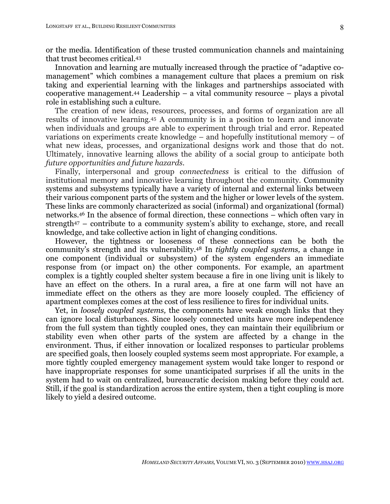or the media. Identification of these trusted communication channels and maintaining that trust becomes critical.43

Innovation and learning are mutually increased through the practice of "adaptive comanagement" which combines a management culture that places a premium on risk taking and experiential learning with the linkages and partnerships associated with cooperative management.44 Leadership – a vital community resource – plays a pivotal role in establishing such a culture.

The creation of new ideas, resources, processes, and forms of organization are all results of innovative learning.45 A community is in a position to learn and innovate when individuals and groups are able to experiment through trial and error. Repeated variations on experiments create knowledge – and hopefully institutional memory – of what new ideas, processes, and organizational designs work and those that do not. Ultimately, innovative learning allows the ability of a social group to anticipate both *future opportunities and future hazards*.

Finally, interpersonal and group *connectedness* is critical to the diffusion of institutional memory and innovative learning throughout the community. Community systems and subsystems typically have a variety of internal and external links between their various component parts of the system and the higher or lower levels of the system. These links are commonly characterized as social (informal) and organizational (formal) networks.46 In the absence of formal direction, these connections – which often vary in strength47 – contribute to a community system's ability to exchange, store, and recall knowledge, and take collective action in light of changing conditions.

However, the tightness or looseness of these connections can be both the community's strength and its vulnerability.48 In *tightly coupled systems,* a change in one component (individual or subsystem) of the system engenders an immediate response from (or impact on) the other components. For example, an apartment complex is a tightly coupled shelter system because a fire in one living unit is likely to have an effect on the others. In a rural area, a fire at one farm will not have an immediate effect on the others as they are more loosely coupled. The efficiency of apartment complexes comes at the cost of less resilience to fires for individual units.

Yet, in *loosely coupled systems,* the components have weak enough links that they can ignore local disturbances. Since loosely connected units have more independence from the full system than tightly coupled ones, they can maintain their equilibrium or stability even when other parts of the system are affected by a change in the environment. Thus, if either innovation or localized responses to particular problems are specified goals, then loosely coupled systems seem most appropriate. For example, a more tightly coupled emergency management system would take longer to respond or have inappropriate responses for some unanticipated surprises if all the units in the system had to wait on centralized, bureaucratic decision making before they could act. Still, if the goal is standardization across the entire system, then a tight coupling is more likely to yield a desired outcome.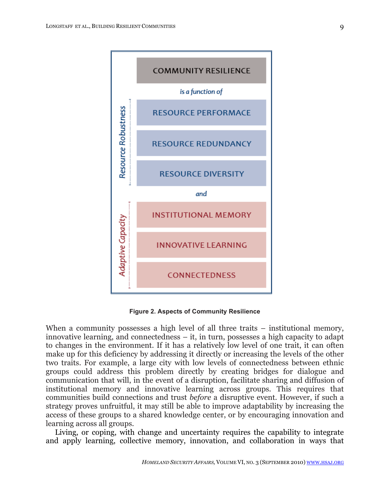

**Figure 2. Aspects of Community Resilience**

When a community possesses a high level of all three traits – institutional memory, innovative learning, and connectedness – it, in turn, possesses a high capacity to adapt to changes in the environment. If it has a relatively low level of one trait, it can often make up for this deficiency by addressing it directly or increasing the levels of the other two traits. For example, a large city with low levels of connectedness between ethnic groups could address this problem directly by creating bridges for dialogue and communication that will, in the event of a disruption, facilitate sharing and diffusion of institutional memory and innovative learning across groups. This requires that communities build connections and trust *before* a disruptive event. However, if such a strategy proves unfruitful, it may still be able to improve adaptability by increasing the access of these groups to a shared knowledge center, or by encouraging innovation and learning across all groups.

Living, or coping, with change and uncertainty requires the capability to integrate and apply learning, collective memory, innovation, and collaboration in ways that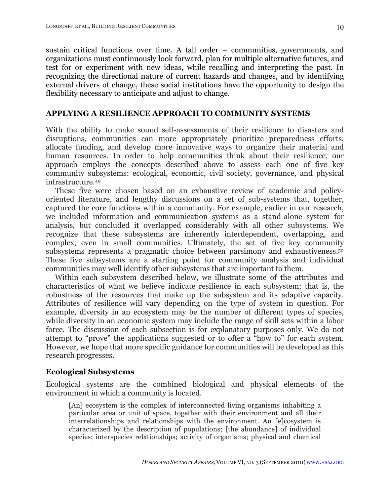sustain critical functions over time. A tall order – communities, governments, and organizations must continuously look forward, plan for multiple alternative futures, and test for or experiment with new ideas, while recalling and interpreting the past. In recognizing the directional nature of current hazards and changes, and by identifying external drivers of change, these social institutions have the opportunity to design the flexibility necessary to anticipate and adjust to change.

## **APPLYING A RESILIENCE APPROACH TO COMMUNITY SYSTEMS**

With the ability to make sound self-assessments of their resilience to disasters and disruptions, communities can more appropriately prioritize preparedness efforts, allocate funding, and develop more innovative ways to organize their material and human resources. In order to help communities think about their resilience, our approach employs the concepts described above to assess each one of five key community subsystems: ecological, economic, civil society, governance, and physical infrastructure.49

These five were chosen based on an exhaustive review of academic and policyoriented literature, and lengthy discussions on a set of sub-systems that, together, captured the core functions within a community. For example, earlier in our research, we included information and communication systems as a stand-alone system for analysis, but concluded it overlapped considerably with all other subsystems. We recognize that these subsystems are inherently interdependent, overlapping, and complex, even in small communities. Ultimately, the set of five key community subsystems represents a pragmatic choice between parsimony and exhaustiveness.50 These five subsystems are a starting point for community analysis and individual communities may well identify other subsystems that are important to them.

Within each subsystem described below, we illustrate some of the attributes and characteristics of what we believe indicate resilience in each subsystem; that is, the robustness of the resources that make up the subsystem and its adaptive capacity. Attributes of resilience will vary depending on the type of system in question. For example, diversity in an ecosystem may be the number of different types of species, while diversity in an economic system may include the range of skill sets within a labor force. The discussion of each subsection is for explanatory purposes only. We do not attempt to "prove" the applications suggested or to offer a "how to" for each system. However, we hope that more specific guidance for communities will be developed as this research progresses.

## **Ecological Subsystems**

Ecological systems are the combined biological and physical elements of the environment in which a community is located.

[An] ecosystem is the complex of interconnected living organisms inhabiting a particular area or unit of space, together with their environment and all their interrelationships and relationships with the environment. An [e]cosystem is characterized by the description of populations; [the abundance] of individual species; interspecies relationships; activity of organisms; physical and chemical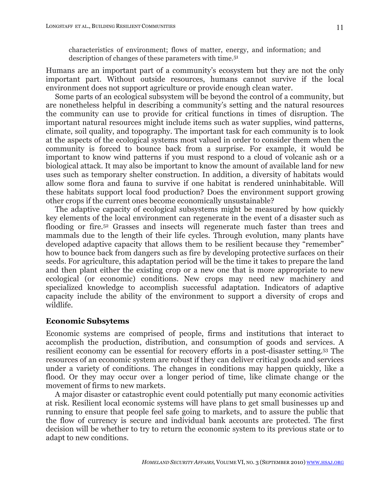characteristics of environment; flows of matter, energy, and information; and description of changes of these parameters with time.51

Humans are an important part of a community's ecosystem but they are not the only important part. Without outside resources, humans cannot survive if the local environment does not support agriculture or provide enough clean water.

Some parts of an ecological subsystem will be beyond the control of a community, but are nonetheless helpful in describing a community's setting and the natural resources the community can use to provide for critical functions in times of disruption. The important natural resources might include items such as water supplies, wind patterns, climate, soil quality, and topography. The important task for each community is to look at the aspects of the ecological systems most valued in order to consider them when the community is forced to bounce back from a surprise. For example, it would be important to know wind patterns if you must respond to a cloud of volcanic ash or a biological attack. It may also be important to know the amount of available land for new uses such as temporary shelter construction. In addition, a diversity of habitats would allow some flora and fauna to survive if one habitat is rendered uninhabitable. Will these habitats support local food production? Does the environment support growing other crops if the current ones become economically unsustainable?

The adaptive capacity of ecological subsystems might be measured by how quickly key elements of the local environment can regenerate in the event of a disaster such as flooding or fire.<sup>52</sup> Grasses and insects will regenerate much faster than trees and mammals due to the length of their life cycles. Through evolution, many plants have developed adaptive capacity that allows them to be resilient because they "remember" how to bounce back from dangers such as fire by developing protective surfaces on their seeds. For agriculture, this adaptation period will be the time it takes to prepare the land and then plant either the existing crop or a new one that is more appropriate to new ecological (or economic) conditions. New crops may need new machinery and specialized knowledge to accomplish successful adaptation. Indicators of adaptive capacity include the ability of the environment to support a diversity of crops and wildlife.

### **Economic Subsytems**

Economic systems are comprised of people, firms and institutions that interact to accomplish the production, distribution, and consumption of goods and services. A resilient economy can be essential for recovery efforts in a post-disaster setting.53 The resources of an economic system are robust if they can deliver critical goods and services under a variety of conditions. The changes in conditions may happen quickly, like a flood. Or they may occur over a longer period of time, like climate change or the movement of firms to new markets.

A major disaster or catastrophic event could potentially put many economic activities at risk. Resilient local economic systems will have plans to get small businesses up and running to ensure that people feel safe going to markets, and to assure the public that the flow of currency is secure and individual bank accounts are protected. The first decision will be whether to try to return the economic system to its previous state or to adapt to new conditions.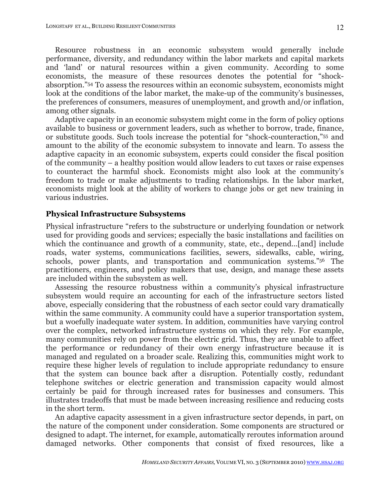Resource robustness in an economic subsystem would generally include performance, diversity, and redundancy within the labor markets and capital markets and 'land' or natural resources within a given community. According to some economists, the measure of these resources denotes the potential for "shockabsorption."54 To assess the resources within an economic subsystem, economists might look at the conditions of the labor market, the make-up of the community's businesses, the preferences of consumers, measures of unemployment, and growth and/or inflation, among other signals.

Adaptive capacity in an economic subsystem might come in the form of policy options available to business or government leaders, such as whether to borrow, trade, finance, or substitute goods. Such tools increase the potential for "shock-counteraction,"55 and amount to the ability of the economic subsystem to innovate and learn. To assess the adaptive capacity in an economic subsystem, experts could consider the fiscal position of the community – a healthy position would allow leaders to cut taxes or raise expenses to counteract the harmful shock. Economists might also look at the community's freedom to trade or make adjustments to trading relationships. In the labor market, economists might look at the ability of workers to change jobs or get new training in various industries.

### **Physical Infrastructure Subsystems**

Physical infrastructure "refers to the substructure or underlying foundation or network used for providing goods and services; especially the basic installations and facilities on which the continuance and growth of a community, state, etc., depend...[and] include roads, water systems, communications facilities, sewers, sidewalks, cable, wiring, schools, power plants, and transportation and communication systems."56 The practitioners, engineers, and policy makers that use, design, and manage these assets are included within the subsystem as well.

Assessing the resource robustness within a community's physical infrastructure subsystem would require an accounting for each of the infrastructure sectors listed above, especially considering that the robustness of each sector could vary dramatically within the same community. A community could have a superior transportation system, but a woefully inadequate water system. In addition, communities have varying control over the complex, networked infrastructure systems on which they rely. For example, many communities rely on power from the electric grid. Thus, they are unable to affect the performance or redundancy of their own energy infrastructure because it is managed and regulated on a broader scale. Realizing this, communities might work to require these higher levels of regulation to include appropriate redundancy to ensure that the system can bounce back after a disruption. Potentially costly, redundant telephone switches or electric generation and transmission capacity would almost certainly be paid for through increased rates for businesses and consumers. This illustrates tradeoffs that must be made between increasing resilience and reducing costs in the short term.

An adaptive capacity assessment in a given infrastructure sector depends, in part, on the nature of the component under consideration. Some components are structured or designed to adapt. The internet, for example, automatically reroutes information around damaged networks. Other components that consist of fixed resources, like a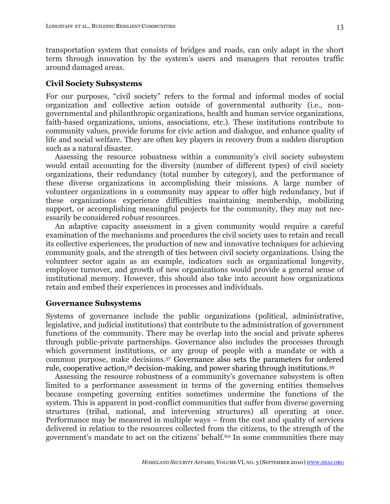transportation system that consists of bridges and roads, can only adapt in the short term through innovation by the system's users and managers that reroutes traffic around damaged areas.

## **Civil Society Subsystems**

For our purposes, "civil society" refers to the formal and informal modes of social organization and collective action outside of governmental authority (i.e., nongovernmental and philanthropic organizations, health and human service organizations, faith-based organizations, unions, associations, etc.). These institutions contribute to community values, provide forums for civic action and dialogue, and enhance quality of life and social welfare. They are often key players in recovery from a sudden disruption such as a natural disaster.

Assessing the resource robustness within a community's civil society subsystem would entail accounting for the diversity (number of different types) of civil society organizations, their redundancy (total number by category), and the performance of these diverse organizations in accomplishing their missions. A large number of volunteer organizations in a community may appear to offer high redundancy, but if these organizations experience difficulties maintaining membership, mobilizing support, or accomplishing meaningful projects for the community, they may not necessarily be considered *robust* resources.

An adaptive capacity assessment in a given community would require a careful examination of the mechanisms and procedures the civil society uses to retain and recall its collective experiences, the production of new and innovative techniques for achieving community goals, and the strength of ties between civil society organizations. Using the volunteer sector again as an example, indicators such as organizational longevity, employee turnover, and growth of new organizations would provide a general sense of institutional memory. However, this should also take into account how organizations retain and embed their experiences in processes and individuals.

### **Governance Subsystems**

Systems of governance include the public organizations (political, administrative, legislative, and judicial institutions) that contribute to the administration of government functions of the community. There may be overlap into the social and private spheres through public-private partnerships. Governance also includes the processes through which government institutions, or any group of people with a mandate or with a common purpose, make decisions.57 Governance also sets the parameters for ordered rule, cooperative action,58 decision-making, and power sharing through institutions.59

Assessing the resource robustness of a community's governance subsystem is often limited to a performance assessment in terms of the governing entities themselves because competing governing entities sometimes undermine the functions of the system. This is apparent in post-conflict communities that suffer from diverse governing structures (tribal, national, and intervening structures) all operating at once. Performance may be measured in multiple ways – from the cost and quality of services delivered in relation to the resources collected from the citizens, to the strength of the government's mandate to act on the citizens' behalf.60 In some communities there may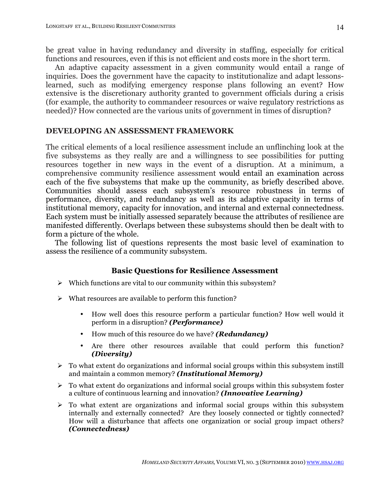be great value in having redundancy and diversity in staffing, especially for critical functions and resources, even if this is not efficient and costs more in the short term.

An adaptive capacity assessment in a given community would entail a range of inquiries. Does the government have the capacity to institutionalize and adapt lessonslearned, such as modifying emergency response plans following an event? How extensive is the discretionary authority granted to government officials during a crisis (for example, the authority to commandeer resources or waive regulatory restrictions as needed)? How connected are the various units of government in times of disruption?

## **DEVELOPING AN ASSESSMENT FRAMEWORK**

The critical elements of a local resilience assessment include an unflinching look at the five subsystems as they really are and a willingness to see possibilities for putting resources together in new ways in the event of a disruption. At a minimum, a comprehensive community resilience assessment would entail an examination across each of the five subsystems that make up the community, as briefly described above. Communities should assess each subsystem's resource robustness in terms of performance, diversity, and redundancy as well as its adaptive capacity in terms of institutional memory, capacity for innovation, and internal and external connectedness. Each system must be initially assessed separately because the attributes of resilience are manifested differently. Overlaps between these subsystems should then be dealt with to form a picture of the whole.

The following list of questions represents the most basic level of examination to assess the resilience of a community subsystem.

# **Basic Questions for Resilience Assessment**

- $\triangleright$  Which functions are vital to our community within this subsystem?
- $\triangleright$  What resources are available to perform this function?
	- How well does this resource perform a particular function? How well would it perform in a disruption? *(Performance)*
	- How much of this resource do we have? *(Redundancy)*
	- Are there other resources available that could perform this function? *(Diversity)*
- $\triangleright$  To what extent do organizations and informal social groups within this subsystem instill and maintain a common memory? *(Institutional Memory)*
- $\triangleright$  To what extent do organizations and informal social groups within this subsystem foster a culture of continuous learning and innovation? *(Innovative Learning)*
- $\triangleright$  To what extent are organizations and informal social groups within this subsystem internally and externally connected? Are they loosely connected or tightly connected? How will a disturbance that affects one organization or social group impact others? *(Connectedness)*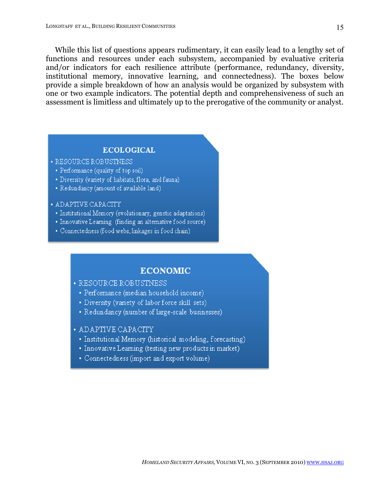While this list of questions appears rudimentary, it can easily lead to a lengthy set of functions and resources under each subsystem, accompanied by evaluative criteria and/or indicators for each resilience attribute (performance, redundancy, diversity, institutional memory, innovative learning, and connectedness). The boxes below provide a simple breakdown of how an analysis would be organized by subsystem with one or two example indicators. The potential depth and comprehensiveness of such an assessment is limitless and ultimately up to the prerogative of the community or analyst.

### **ECOLOGICAL**

- · RESOURCE ROBUSTNESS
	- Performance (quality of top soil)
	- · Diversity (variety of habitats, flora, and fauna)
	- Redundancy (amount of available land)

### • ADAPTIVE CAPACITY

- · Institutional Memory (evolutionary, genetic adaptations)
- Innovative Learning (finding an alternative food source)
- Connectedness (food webs, linkages in food chain)

### **ECONOMIC**

· RESOURCE ROBUSTNESS

- · Performance (median household income)
- Diversity (variety of labor force skill sets)
- Redundancy (number of large-scale businesses)
- · ADAPTIVE CAPACITY
	- Institutional Memory (historical modeling, forecasting)
	- Innovative Learning (testing new products in market)
	- · Connectedness (import and export volume)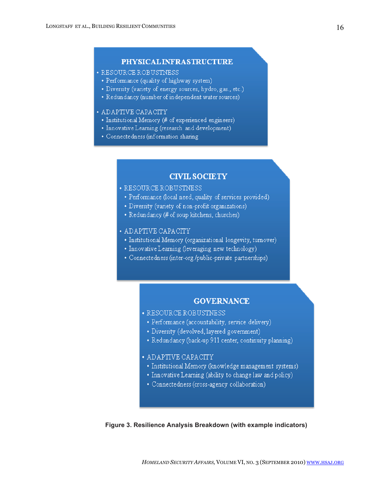## PHYSICAL INFRASTRUCTURE

#### · RESOURCE ROBUSTNESS

- Performance (quality of highway system)
- Diversity (variety of energy sources, hydro, gas., etc.)
- Redundancy (number of independent water sources)

#### • ADAPTIVE CAPACITY

- Institutional Memory (# of experienced engineers)
- Innovative Learning (research and development)
- · Connectedness (information sharing

### **CIVIL SOCIETY**

- · RESOURCE ROBUSTNESS
- · Performance (local need, quality of services provided)
- Diversity (variety of non-profit organizations)
- Redundancy (# of soup kitchens, churches)

### • ADAPTIVE CAPACITY

- · Institutional Memory (organizational longevity, turnover)
- Innovative Learning (leveraging new technology)
- · Connectedness (inter-org./public-private partnerships)

### **GOVERNANCE**

- · RESOURCE ROBUSTNESS
- · Performance (accountability, service delivery)
- Diversity (devolved, layered government)
- Redundancy (back-up 911 center, continuity planning)

### • ADAPTIVE CAPACITY

- · Institutional Memory (knowledge management systems)
- Innovative Learning (ability to change law and policy)
- Connectedness (cross-agency collaboration)

**Figure 3. Resilience Analysis Breakdown (with example indicators)**

*HOMELAND SECURITY AFFAIRS,* VOLUME VI, NO. 3 (SEPTEMBER 2010) WWW.HSAJ.ORG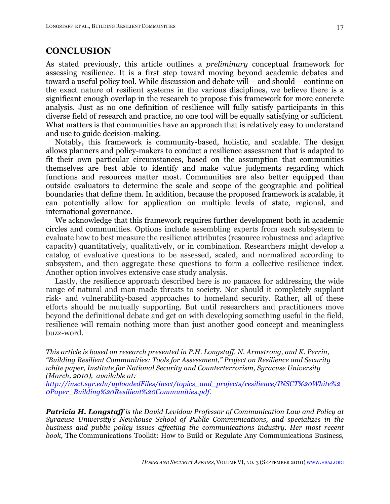# **CONCLUSION**

As stated previously, this article outlines a *preliminary* conceptual framework for assessing resilience. It is a first step toward moving beyond academic debates and toward a useful policy tool. While discussion and debate will – and should – continue on the exact nature of resilient systems in the various disciplines, we believe there is a significant enough overlap in the research to propose this framework for more concrete analysis. Just as no one definition of resilience will fully satisfy participants in this diverse field of research and practice, no one tool will be equally satisfying or sufficient. What matters is that communities have an approach that is relatively easy to understand and use to guide decision-making.

Notably, this framework is community-based, holistic, and scalable. The design allows planners and policy-makers to conduct a resilience assessment that is adapted to fit their own particular circumstances, based on the assumption that communities themselves are best able to identify and make value judgments regarding which functions and resources matter most. Communities are also better equipped than outside evaluators to determine the scale and scope of the geographic and political boundaries that define them. In addition, because the proposed framework is scalable, it can potentially allow for application on multiple levels of state, regional, and international governance.

We acknowledge that this framework requires further development both in academic circles and communities. Options include assembling experts from each subsystem to evaluate how to best measure the resilience attributes (resource robustness and adaptive capacity) quantitatively, qualitatively, or in combination. Researchers might develop a catalog of evaluative questions to be assessed, scaled, and normalized according to subsystem, and then aggregate these questions to form a collective resilience index. Another option involves extensive case study analysis.

Lastly, the resilience approach described here is no panacea for addressing the wide range of natural and man-made threats to society. Nor should it completely supplant risk- and vulnerability-based approaches to homeland security. Rather, all of these efforts should be mutually supporting. But until researchers and practitioners move beyond the definitional debate and get on with developing something useful in the field, resilience will remain nothing more than just another good concept and meaningless buzz-word.

*This article is based on research presented in P.H. Longstaff, N. Armstrong, and K. Perrin, "Building Resilient Communities: Tools for Assessment," Project on Resilience and Security white paper, Institute for National Security and Counterterrorism, Syracuse University (March, 2010), available at:*

*http://insct.syr.edu/uploadedFiles/insct/topics\_and\_projects/resilience/INSCT%20White%2 0Paper\_Building%20Resilient%20Communities.pdf*.

*Patricia H. Longstaff is the David Levidow Professor of Communication Law and Policy at Syracuse University's Newhouse School of Public Communications, and specializes in the business and public policy issues affecting the communications industry. Her most recent book,* The Communications Toolkit: How to Build or Regulate Any Communications Business*,*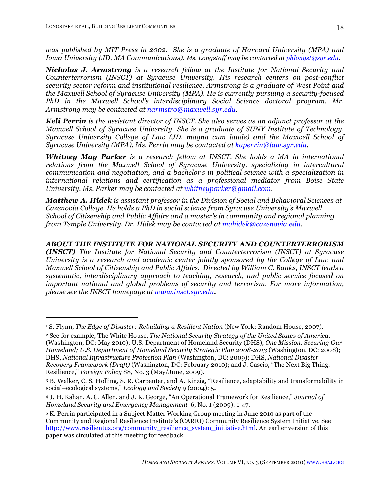*was published by MIT Press in 2002. She is a graduate of Harvard University (MPA) and Iowa University (JD, MA Communications). Ms. Longstaff may be contacted at phlongst@syr.edu.*

*Nicholas J. Armstrong is a research fellow at the Institute for National Security and Counterterrorism (INSCT) at Syracuse University. His research centers on post-conflict security sector reform and institutional resilience. Armstrong is a graduate of West Point and the Maxwell School of Syracuse University (MPA). He is currently pursuing a security-focused PhD in the Maxwell School's interdisciplinary Social Science doctoral program. Mr*. *Armstrong may be contacted at narmstro@maxwell.syr.edu.*

*Keli Perrin is the assistant director of INSCT. She also serves as an adjunct professor at the Maxwell School of Syracuse University. She is a graduate of SUNY Institute of Technology, Syracuse University College of Law (JD, magna cum laude) and the Maxwell School of Syracuse University (MPA). Ms. Perrin may be contacted at kaperrin@law.syr.edu.*

*Whitney May Parker is a research fellow at INSCT. She holds a MA in international relations from the Maxwell School of Syracuse University, specializing in intercultural communication and negotiation, and a bachelor's in political science with a specialization in international relations and certification as a professional mediator from Boise State University. Ms. Parker may be contacted at whitneyparker@gmail.com.*

*Matthew A. Hidek is assistant professor in the Division of Social and Behavioral Sciences at Cazenovia College. He holds a PhD in social science from Syracuse University's Maxwell School of Citizenship and Public Affairs and a master's in community and regional planning from Temple University. Dr. Hidek may be contacted at mahidek@cazenovia.edu.* 

*ABOUT THE INSTITUTE FOR NATIONAL SECURITY AND COUNTERTERRORISM (INSCT) The Institute for National Security and Counterterrorism (INSCT) at Syracuse University is a research and academic center jointly sponsored by the College of Law and Maxwell School of Citizenship and Public Affairs. Directed by William C. Banks, INSCT leads a systematic, interdisciplinary approach to teaching, research, and public service focused on important national and global problems of security and terrorism. For more information, please see the INSCT homepage at www.insct.syr.edu.* 

<sup>1</sup> S. Flynn, *The Edge of Disaster: Rebuilding a Resilient Nation* (New York: Random House, 2007).

<sup>2</sup> See for example, The White House, *The National Security Strategy of the United States of America*. (Washington, DC: May 2010); U.S. Department of Homeland Security (DHS), *One Mission, Securing Our Homeland; U.S. Department of Homeland Security Strategic Plan 2008-2013* (Washington, DC: 2008); DHS, *National Infrastructure Protection Plan* (Washington, DC: 2009); DHS, *National Disaster Recovery Framework (Draft)* (Washington, DC: February 2010); and J. Cascio, "The Next Big Thing: Resilience," *Foreign Policy* 88, No. 3 (May/June, 2009).

<sup>3</sup> B. Walker, C. S. Holling, S. R. Carpenter, and A. Kinzig, "Resilience, adaptability and transformability in social–ecological systems," *Ecology and Society* 9 (2004): 5.

<sup>4</sup> J. H. Kahan, A. C. Allen, and J. K. George, "An Operational Framework for Resilience," *Journal of Homeland Security and Emergency Management* 6, No. 1 (2009): 1-47.

<sup>5</sup> K. Perrin participated in a Subject Matter Working Group meeting in June 2010 as part of the Community and Regional Resilience Institute's (CARRI) Community Resilience System Initiative. See http://www.resilientus.org/community\_resilience\_system\_initiative.html. An earlier version of this paper was circulated at this meeting for feedback.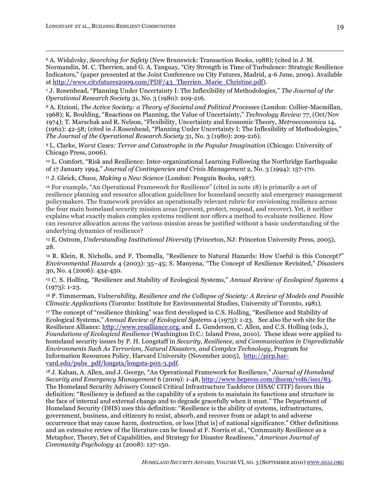6 A. Widalvsky, *Searching for Safety* (New Brunswick: Transaction Books, 1988); (cited in J. M. Normandin, M. C. Therrien, and G. A. Tanguay, "City Strength in Time of Turbulence: Strategic Resilience Indicators," (paper presented at the Joint Conference on City Futures, Madrid, 4-6 June, 2009). Available at http://www.cityfutures2009.com/PDF/43\_Therrien\_Marie\_Christine.pdf).

7 J. Rosenhead, "Planning Under Uncertainty I: The Inflexibility of Methodologies," *The Journal of the Operational Research Society* 31, No. 3 (1980): 209-216.

8 A. Etzioni, *The Active Society: a Theory of Societal and Political Processes* (London: Collier-Macmillan, 1968); K. Boulding, "Reactions on Planning, the Value of Uncertainty," *Technology Review* 77, (Oct/Nov 1974); T. Marschak and R. Nelson, "Flexibility, Uncertainty and Economic Theory, *Metroeconomica* 14, (1962): 42-58; (cited in J.Rosenhead, "Planning Under Uncertainty I: The Inflexibility of Methodologies," *The Journal of the Operational Research Society* 31, No. 3 (1980): 209-216).

9 L. Clarke, *Worst Cases: Terror and Catastrophe in the Popular Imagination* (Chicago: University of Chicago Press, 2006).

10 L. Comfort, "Risk and Resilience: Inter-organizational Learning Following the Northridge Earthquake of 17 January 1994," *Journal of Contingencies and Crisis Management* 2, No. 3 (1994): 157-170.

11 J. Gleick, *Chaos, Making a New Science* (London: Penguin Books, 1987).

<sup>12</sup> For example, "An Operational Framework for Resilience" (cited in note 18) is primarily a set of resilience planning and resource allocation guidelines for homeland security and emergency management policymakers. The framework provides an operationally relevant rubric for envisioning resilience across the four main homeland security mission areas (prevent, protect, respond, and recover). Yet, it neither explains what exactly makes complex systems resilient nor offers a method to evaluate resilience. How can resource allocation across the various mission areas be justified without a basic understanding of the underlying dynamics of resilience?

13 E. Ostrom, *Understanding Institutional Diversity* (Princeton, NJ: Princeton University Press, 2005), 28.

14 R. Klein, R. Nicholls, and F. Thomalla, "Resilience to Natural Hazards: How Useful is this Concept?" *Environmental Hazards* 4 (2003): 35–45; S. Manyena, "The Concept of Resilience Revisited," *Disasters* 30, No. 4 (2006): 434-450.

<sup>15</sup> C. S. Holling, "Resilience and Stability of Ecological Systems," *Annual Review of Ecological Systems* 4 (1973): 1-23.

16 P. Timmerman, *Vulnerability, Resilience and the Collapse of Society: A Review of Models and Possible Climatic Applications* (Toronto: Institute for Environmental Studies, University of Toronto, 1981).

<sup>17</sup> The concept of "resilience thinking" was first developed in C.S. Holling, "Resilience and Stability of Ecological Systems," *Annual Review of Ecological Systems* 4 (1973): 1-23. See also the web site for the Resilience Alliance: http://www.resalliance.org, and L. Gunderson, C. Allen, and C.S. Holling (eds.), *Foundations of Ecological Resilience* (Washington D.C.: Island Press, 2010). These ideas were applied to homeland security issues by P. H. Longstaff in *Security, Resilience, and Communication in Unpredictable Environments Such As Terrorism, Natural Disasters, and Complex Technology*, Program for Information Resources Policy, Harvard University (November 2005), http://pirp.harvard.edu/pubs\_pdf/longsta/longsta-p05-3.pdf.

18 J. Kahan, A. Allen, and J. George, "An Operational Framework for Resilience," *Journal of Homeland Security and Emergency Management* 6 (2009): 1-48, http://www.bepress.com/jhsem/vol6/iss1/83. The Homeland Security Advisory Council Critical Infrastructure Taskforce (HSAC CITF) favors this definition: "Resiliency is defined as the capability of a system to maintain its functions and structure in the face of internal and external change and to degrade gracefully when it must." The Department of Homeland Security (DHS) uses this definition: "Resilience is the ability of systems, infrastructures, government, business, and citizenry to resist, absorb, and recover from or adapt to and adverse occurrence that may cause harm, destruction, or loss [that is] of national significance." Other definitions and an extensive review of the literature can be found at F. Norris et al., "Community Resilience as a Metaphor, Theory, Set of Capabilities, and Strategy for Disaster Readiness," *American Journal of Community Psychology* 41 (2008): 127-150.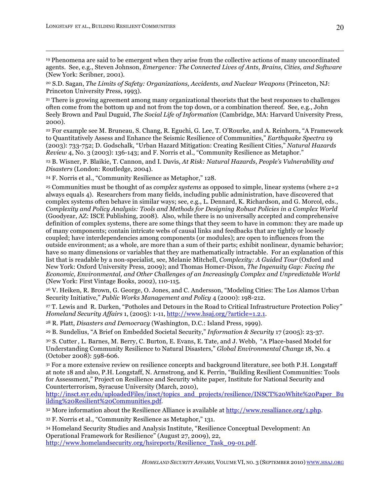19 Phenomena are said to be emergent when they arise from the collective actions of many uncoordinated agents. See, e.g., Steven Johnson, *Emergence: The Connected Lives of Ants, Brains, Cities, and Software* (New York: Scribner, 2001).

20 S.D. Sagan, *The Limits of Safety: Organizations, Accidents, and Nuclear Weapons* (Princeton, NJ: Princeton University Press, 1993).

21 There is growing agreement among many organizational theorists that the best responses to challenges often come from the bottom up and not from the top down, or a combination thereof. See, e.g., John Seely Brown and Paul Duguid, *The Social Life of Information* (Cambridge, MA: Harvard University Press, 2000).

22 For example see M. Bruneau, S. Chang, R. Eguchi, G. Lee, T. O'Rourke, and A. Reinhorn, "A Framework to Quantitatively Assess and Enhance the Seismic Resilience of Communities," *Earthquake Spectra* 19 (2003): 733-752; D. Godschalk, "Urban Hazard Mitigation: Creating Resilient Cities," *Natural Hazards Review* 4, No. 3 (2003): 136-143; and F. Norris et al., "Community Resilience as Metaphor."

23 B. Wisner, P. Blaikie, T. Cannon, and I. Davis, *At Risk: Natural Hazards, People's Vulnerability and Disasters* (London: Routledge, 2004).

<sup>24</sup> F. Norris et al., "Community Resilience as Metaphor," 128.

25 Communities must be thought of as *complex systems* as opposed to simple, linear systems (where 2+2 always equals 4). Researchers from many fields, including public administration, have discovered that complex systems often behave in similar ways; see, e.g., L. Dennard, K. Richardson, and G. Morcol, eds., *Complexity and Policy Analysis: Tools and Methods for Designing Robust Policies in a Complex World* (Goodyear, AZ: ISCE Publishing, 2008). Also, while there is no universally accepted and comprehensive definition of complex systems, there are some things that they seem to have in common: they are made up of many components; contain intricate webs of causal links and feedbacks that are tightly or loosely coupled; have interdependencies among components (or modules); are open to influences from the outside environment; as a whole, are more than a sum of their parts; exhibit nonlinear, dynamic behavior; have so many dimensions or variables that they are mathematically intractable. For an explanation of this list that is readable by a non-specialist, see, Melanie Mitchell, *Complexity: A Guided Tour* (Oxford and New York: Oxford University Press, 2009); and Thomas Homer-Dixon, *The Ingenuity Gap: Facing the Economic, Environmental, and Other Challenges of an Increasingly Complex and Unpredictable World* (New York: First Vintage Books, 2002), 110-115.

26 V. Heiken, R. Brown, G. George, O. Jones, and C. Andersson, "Modeling Cities: The Los Alamos Urban Security Initiative," *Public Works Management and Policy* 4 (2000): 198-212.

<sup>27</sup> T. Lewis and R. Darken, "Potholes and Detours in the Road to Critical Infrastructure Protection Policy*" Homeland Security Affairs* 1, (2005): 1-11, http://www.hsaj.org/?article=1.2.1.

28 R. Platt, *Disasters and Democracy* (Washington, D.C.: Island Press, 1999).

29 B. Sundelius, "A Brief on Embedded Societal Security," *Information & Security* 17 (2005): 23-37.

<sup>30</sup> S. Cutter , L. Barnes, M. Berry, C. Burton, E. Evans, E. Tate, and J. Webb, "A Place-based Model for Understanding Community Resilience to Natural Disasters," *Global Environmental Chan*ge 18, No. 4 (October 2008): 598-606.

31 For a more extensive review on resilience concepts and background literature, see both P.H. Longstaff at note 18 and also, P.H. Longstaff, N. Armstrong, and K. Perrin, "Building Resilient Communities: Tools for Assessment," Project on Resilience and Security white paper, Institute for National Security and Counterterrorism, Syracuse University (March, 2010),

http://insct.syr.edu/uploadedFiles/insct/topics\_and\_projects/resilience/INSCT%20White%20Paper\_Bu ilding%20Resilient%20Communities.pdf.

 $32$  More information about the Resilience Alliance is available at http://www.resalliance.org/1.php.

<sup>33</sup> F. Norris et al., "Community Resilience as Metaphor," 131.

<sup>34</sup> Homeland Security Studies and Analysis Institute, "Resilience Conceptual Development: An Operational Framework for Resilience" (August 27, 2009), 22, http://www.homelandsecurity.org/hsireports/Resilience Task\_09-01.pdf.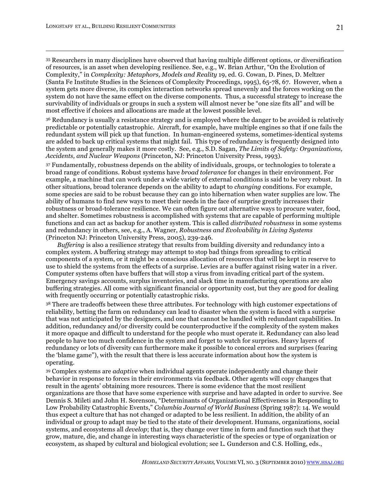35 Researchers in many disciplines have observed that having multiple different options, or diversification of resources, is an asset when developing resilience. See, e.g., W. Brian Arthur, "On the Evolution of Complexity," in *Complexity: Metaphors, Models and Reality* 19, ed. G. Cowan, D. Pines, D. Meltzer (Santa Fe Institute Studies in the Sciences of Complexity Proceedings, 1995), 65-78, 67. However, when a system gets more diverse, its complex interaction networks spread unevenly and the forces working on the system do not have the same effect on the diverse components. Thus, a successful strategy to increase the survivability of individuals or groups in such a system will almost never be "one size fits all" and will be most effective if choices and allocations are made at the lowest possible level.

36 Redundancy is usually a resistance strategy and is employed where the danger to be avoided is relatively predictable or potentially catastrophic. Aircraft, for example, have multiple engines so that if one fails the redundant system will pick up that function. In human-engineered systems, sometimes-identical systems are added to back up critical systems that might fail. This type of redundancy is frequently designed into the system and generally makes it more costly. See, e.g., S.D. Sagan, *The Limits of Safety: Organizations, Accidents, and Nuclear Weapons* (Princeton, NJ: Princeton University Press, 1993).

37 Fundamentally, robustness depends on the ability of individuals, groups, or technologies to tolerate a broad range of conditions. Robust systems have *broad tolerance* for changes in their environment. For example, a machine that can work under a wide variety of external conditions is said to be very robust. In other situations, broad tolerance depends on the ability to adapt to *changing* conditions. For example, some species are said to be robust because they can go into hibernation when water supplies are low. The ability of humans to find new ways to meet their needs in the face of surprise greatly increases their robustness or broad-tolerance resilience. We can often figure out alternative ways to procure water, food, and shelter. Sometimes robustness is accomplished with systems that are capable of performing multiple functions and can act as backup for another system. This is called *distributed robustness* in some systems and redundancy in others, see, e.g., A. Wagner, *Robustness and Evolvability in Living Systems* (Princeton NJ: Princeton University Press, 2005), 239-246.

*Buffering* is also a resilience strategy that results from building diversity and redundancy into a complex system. A buffering strategy may attempt to stop bad things from spreading to critical components of a system, or it might be a conscious allocation of resources that will be kept in reserve to use to shield the systems from the effects of a surprise. Levies are a buffer against rising water in a river. Computer systems often have buffers that will stop a virus from invading critical part of the system. Emergency savings accounts, surplus inventories, and slack time in manufacturing operations are also buffering strategies. All come with significant financial or opportunity cost, but they are good for dealing with frequently occurring or potentially catastrophic risks.

38 There are tradeoffs between these three attributes. For technology with high customer expectations of reliability, betting the farm on redundancy can lead to disaster when the system is faced with a surprise that was not anticipated by the designers, and one that cannot be handled with redundant capabilities. In addition, redundancy and/or diversity could be counterproductive if the complexity of the system makes it more opaque and difficult to understand for the people who must operate it. Redundancy can also lead people to have too much confidence in the system and forget to watch for surprises. Heavy layers of redundancy or lots of diversity can furthermore make it possible to conceal errors and surprises (fearing the 'blame game"), with the result that there is less accurate information about how the system is operating.

39 Complex systems are *adaptive* when individual agents operate independently and change their behavior in response to forces in their environments via feedback. Other agents will copy changes that result in the agents' obtaining more resources. There is some evidence that the most resilient organizations are those that have some experience with surprise and have adapted in order to survive. See Dennis S. Mileti and John H. Sorenson, "Determinants of Organizational Effectiveness in Responding to Low Probability Catastrophic Events," *Columbia Journal of World Business* (Spring 1987): 14. We would thus expect a culture that has not changed or adapted to be less resilient. In addition, the ability of an individual or group to adapt may be tied to the state of their development. Humans, organizations, social systems, and ecosystems all *develop*; that is, they change over time in form and function such that they grow, mature, die, and change in interesting ways characteristic of the species or type of organization or ecosystem, as shaped by cultural and biological evolution; see L. Gunderson and C.S. Holling, eds.,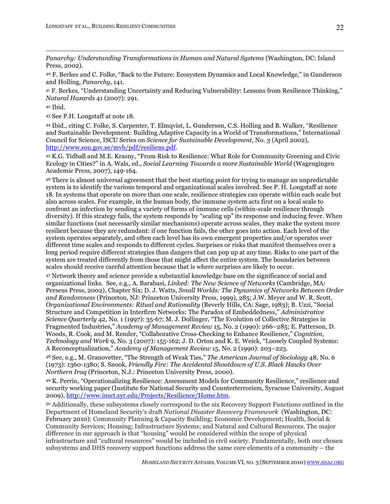*Panarchy: Understanding Transformations in Human and Natural Systems* (Washington, DC: Island Press, 2002).

40 F. Berkes and C. Folke, "Back to the Future: Ecosystem Dynamics and Local Knowledge," in Gunderson and Holling, *Panarchy*, 141.

41 F. Berkes, "Understanding Uncertainty and Reducing Vulnerability: Lessons from Resilience Thinking," *Natural Hazards* 41 (2007): 291.

42 Ibid.

 $\overline{a}$ 

43 See P.H. Longstaff at note 18.

44 Ibid., citing C. Folke, S. Carpenter, T. Elmqvist, L. Gunderson, C.S. Holling and B. Walker, "Resilience and Sustainable Development: Building Adaptive Capacity in a World of Transformations," International Council for Science, ISCU Series on *Science for Sustainable Development*, No. 3 (April 2002), http://www.sou.gov.se/mvb/pdf/resiliens.pdf.

<sup>45</sup> K.G. Tidball and M.E. Krasny, "From Risk to Resilience: What Role for Community Greening and Civic Ecology in Cities?" in A. Wals, ed., *Social Learning Towards a more Sustainable World* (Wagengingen Academic Press, 2007), 149-164.

46 There is almost universal agreement that the best starting point for trying to manage an unpredictable system is to identify the various temporal and organizational scales involved. See P. H. Longstaff at note 18. In systems that operate on more than one scale, resilience strategies can operate within each scale but also across scales. For example, in the human body, the immune system acts first on a local scale to confront an infection by sending a variety of forms of immune cells (within-scale resilience through diversity). If this strategy fails, the system responds by "scaling up" its response and inducing fever. When similar functions (not necessarily similar mechanisms) operate across scales, they make the system more resilient because they are redundant: if one function fails, the other goes into action. Each level of the system operates separately, and often each level has its own emergent properties and/or operates over different time scales and responds to different cycles. Surprises or risks that manifest themselves over a long period require different strategies than dangers that can pop up at any time. Risks to one part of the system are treated differently from those that might affect the entire system. The boundaries between scales should receive careful attention because that is where surprises are likely to occur.

47 Network theory and science provide a substantial knowledge base on the significance of social and organizational links. See, e.g., A. Barabasi, *Linked: The New Science of Networks* (Cambridge, MA: Perseus Press, 2002), Chapter Six; D. J. Watts, *Small Worlds: The Dynamics of Networks Between Order and Randomness* (Princeton, NJ: Princeton University Press, 1999), 285; J.W. Meyer and W. R. Scott, *Organizational Environments: Ritual and Rationality* (Beverly Hills, CA: Sage, 1983); B. Uzzi, "Social Structure and Competition in Interfirm Networks: The Paradox of Embeddedness," *Administrative Science Quarterly* 42, No. 1 (1997): 35-67; M. J. Dollinger, "The Evolution of Collective Strategies in Fragmented Industries," *Academy of Management Review* 15, No. 2 (1990): 266–285; E. Patterson, D. Woods, R. Cook, and M. Render, "Collaborative Cross-Checking to Enhance Resilience," *Cognition, Technology and Work* 9, No. 3 (2007): 155-162; J. D. Orton and K. E. Weick, "Loosely Coupled Systems: A Reconceptualization," *Academy of Management Review* 15, No. 2 (1990): 203–223.

<sup>48</sup> See, e.g., M. Granovetter, "The Strength of Weak Ties," *The American Journal of Sociology* 48, No. 6 (1973): 1360-1380; S. Snook, *Friendly Fire: The Accidental Shootdown of U.S. Black Hawks Over Northern Iraq* (Princeton, N.J.: Princeton University Press, 2000).

<sup>49</sup> K. Perrin, "Operationalizing Resilience: Assessment Models for Community Resilience," resilience and security working paper (Institute for National Security and Counterterrorism, Syracuse University, August 2009), http://www.insct.syr.edu/Projects/Resilience/Home.htm.

<sup>50</sup> Additionally, these subsystems closely correspond to the six Recovery Support Functions outlined in the Department of Homeland Security's draft *National Disaster Recovery Framework* (Washington, DC: February 2010): Community Planning & Capacity Building; Economic Development; Health, Social & Community Services; Housing; Infrastructure Systems; and Natural and Cultural Resources. The major difference in our approach is that "housing" would be considered within the scope of physical infrastructure and "cultural resources" would be included in civil society. Fundamentally, both our chosen subsystems and DHS recovery support functions address the same core elements of a community – the